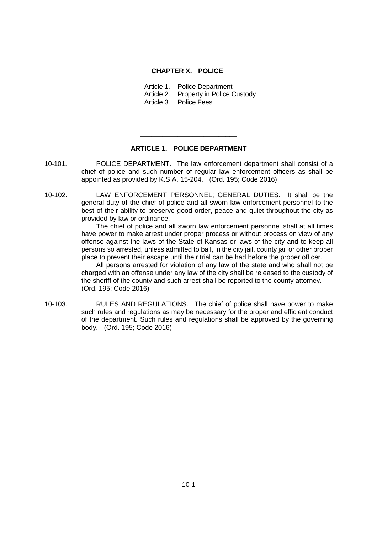## **CHAPTER X. POLICE**

Article 1. Police Department

Article 2. Property in Police Custody

Article 3. Police Fees

## **ARTICLE 1. POLICE DEPARTMENT**

\_\_\_\_\_\_\_\_\_\_\_\_\_\_\_\_\_\_\_\_\_\_\_\_\_\_

- 10-101. POLICE DEPARTMENT. The law enforcement department shall consist of a chief of police and such number of regular law enforcement officers as shall be appointed as provided by K.S.A. 15-204. (Ord. 195; Code 2016)
- 10-102. LAW ENFORCEMENT PERSONNEL; GENERAL DUTIES. It shall be the general duty of the chief of police and all sworn law enforcement personnel to the best of their ability to preserve good order, peace and quiet throughout the city as provided by law or ordinance.

The chief of police and all sworn law enforcement personnel shall at all times have power to make arrest under proper process or without process on view of any offense against the laws of the State of Kansas or laws of the city and to keep all persons so arrested, unless admitted to bail, in the city jail, county jail or other proper place to prevent their escape until their trial can be had before the proper officer.

All persons arrested for violation of any law of the state and who shall not be charged with an offense under any law of the city shall be released to the custody of the sheriff of the county and such arrest shall be reported to the county attorney. (Ord. 195; Code 2016)

10-103. RULES AND REGULATIONS. The chief of police shall have power to make such rules and regulations as may be necessary for the proper and efficient conduct of the department. Such rules and regulations shall be approved by the governing body. (Ord. 195; Code 2016)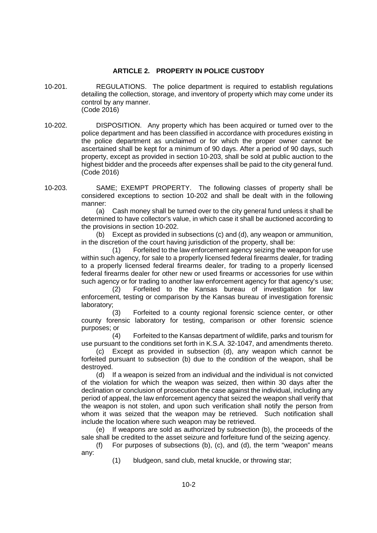## **ARTICLE 2. PROPERTY IN POLICE CUSTODY**

- 10-201. REGULATIONS. The police department is required to establish regulations detailing the collection, storage, and inventory of property which may come under its control by any manner. (Code 2016)
- 10-202. DISPOSITION. Any property which has been acquired or turned over to the police department and has been classified in accordance with procedures existing in the police department as unclaimed or for which the proper owner cannot be ascertained shall be kept for a minimum of 90 days. After a period of 90 days, such property, except as provided in section 10-203, shall be sold at public auction to the highest bidder and the proceeds after expenses shall be paid to the city general fund. (Code 2016)
- 10-203. SAME; EXEMPT PROPERTY. The following classes of property shall be considered exceptions to section 10-202 and shall be dealt with in the following manner:

(a) Cash money shall be turned over to the city general fund unless it shall be determined to have collector's value, in which case it shall be auctioned according to the provisions in section 10-202.

(b) Except as provided in subsections (c) and (d), any weapon or ammunition, in the discretion of the court having jurisdiction of the property, shall be:

(1) Forfeited to the law enforcement agency seizing the weapon for use within such agency, for sale to a properly licensed federal firearms dealer, for trading to a properly licensed federal firearms dealer, for trading to a properly licensed federal firearms dealer for other new or used firearms or accessories for use within such agency or for trading to another law enforcement agency for that agency's use;

(2) Forfeited to the Kansas bureau of investigation for law enforcement, testing or comparison by the Kansas bureau of investigation forensic laboratory;

(3) Forfeited to a county regional forensic science center, or other county forensic laboratory for testing, comparison or other forensic science purposes; or

(4) Forfeited to the Kansas department of wildlife, parks and tourism for use pursuant to the conditions set forth in K.S.A. 32-1047, and amendments thereto.

(c) Except as provided in subsection (d), any weapon which cannot be forfeited pursuant to subsection (b) due to the condition of the weapon, shall be destroyed.

(d) If a weapon is seized from an individual and the individual is not convicted of the violation for which the weapon was seized, then within 30 days after the declination or conclusion of prosecution the case against the individual, including any period of appeal, the law enforcement agency that seized the weapon shall verify that the weapon is not stolen, and upon such verification shall notify the person from whom it was seized that the weapon may be retrieved. Such notification shall include the location where such weapon may be retrieved.

(e) If weapons are sold as authorized by subsection (b), the proceeds of the sale shall be credited to the asset seizure and forfeiture fund of the seizing agency.

(f) For purposes of subsections (b), (c), and (d), the term "weapon" means any:

(1) bludgeon, sand club, metal knuckle, or throwing star;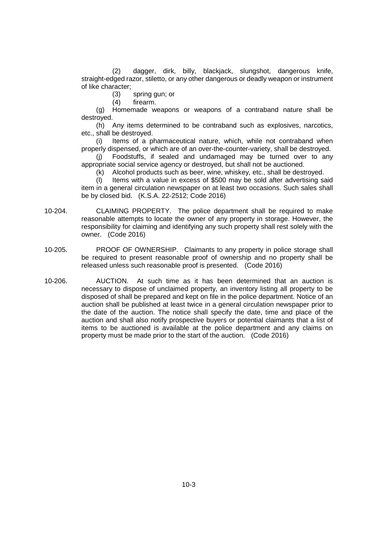(2) dagger, dirk, billy, blackjack, slungshot, dangerous knife, straight-edged razor, stiletto, or any other dangerous or deadly weapon or instrument of like character;

(3) spring gun; or

(4) firearm.

(g) Homemade weapons or weapons of a contraband nature shall be destroyed.

(h) Any items determined to be contraband such as explosives, narcotics, etc., shall be destroyed.

(i) Items of a pharmaceutical nature, which, while not contraband when properly dispensed, or which are of an over-the-counter-variety, shall be destroyed.

(j) Foodstuffs, if sealed and undamaged may be turned over to any appropriate social service agency or destroyed, but shall not be auctioned.

(k) Alcohol products such as beer, wine, whiskey, etc., shall be destroyed.

(l) Items with a value in excess of \$500 may be sold after advertising said item in a general circulation newspaper on at least two occasions. Such sales shall be by closed bid. (K.S.A. 22-2512; Code 2016)

- 10-204. CLAIMING PROPERTY. The police department shall be required to make reasonable attempts to locate the owner of any property in storage. However, the responsibility for claiming and identifying any such property shall rest solely with the owner. (Code 2016)
- 10-205. PROOF OF OWNERSHIP. Claimants to any property in police storage shall be required to present reasonable proof of ownership and no property shall be released unless such reasonable proof is presented. (Code 2016)
- 10-206. AUCTION. At such time as it has been determined that an auction is necessary to dispose of unclaimed property, an inventory listing all property to be disposed of shall be prepared and kept on file in the police department. Notice of an auction shall be published at least twice in a general circulation newspaper prior to the date of the auction. The notice shall specify the date, time and place of the auction and shall also notify prospective buyers or potential claimants that a list of items to be auctioned is available at the police department and any claims on property must be made prior to the start of the auction. (Code 2016)